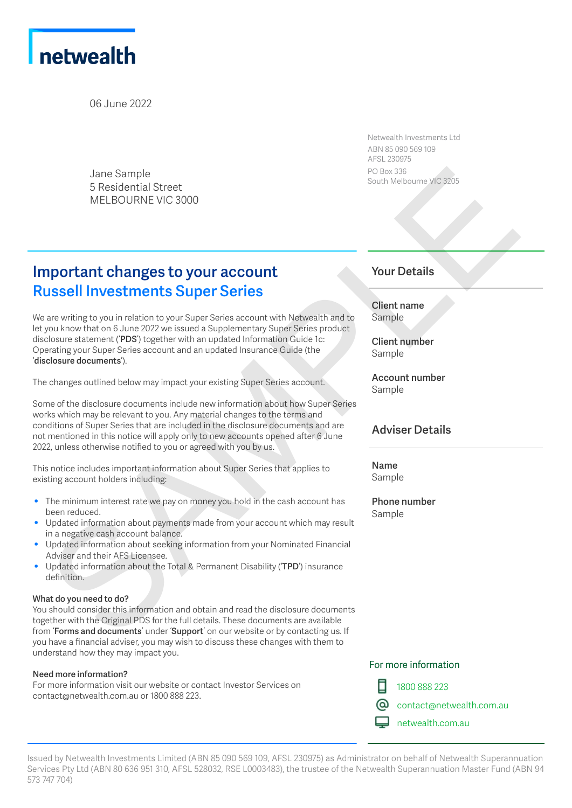

06 June 2022

Jane Sample 5 Residential Street MELBOURNE VIC 3000

## **Important changes to your account Russell Investments Super Series**

We are writing to you in relation to your Super Series account with Netwealth and to let you know that on 6 June 2022 we issued a Supplementary Super Series product disclosure statement ('**PDS**') together with an updated Information Guide 1c: Operating your Super Series account and an updated Insurance Guide (the '**disclosure documents**').

The changes outlined below may impact your existing Super Series account.

Some of the disclosure documents include new information about how Super Series works which may be relevant to you. Any material changes to the terms and conditions of Super Series that are included in the disclosure documents and are not mentioned in this notice will apply only to new accounts opened after 6 June 2022, unless otherwise notified to you or agreed with you by us. Since Sample<br>
Secret and Since the Since Sample of the Control of the Control of the Control of the Control of the Control of the Control of the Control of the Control of the Control of the Control of the Control of the Co

This notice includes important information about Super Series that applies to existing account holders including:

- The minimum interest rate we pay on money you hold in the cash account has been reduced.
- Updated information about payments made from your account which may result in a negative cash account balance.
- Updated information about seeking information from your Nominated Financial Adviser and their AFS Licensee.
- Updated information about the Total & Permanent Disability ('**TPD**') insurance definition.

#### **What do you need to do?**

You should consider this information and obtain and read the disclosure documents together with the Original PDS for the full details. These documents are available from '**Forms and documents**' under '**Support**' on our website or by contacting us. If you have a financial adviser, you may wish to discuss these changes with them to understand how they may impact you.

#### **Need more information?**

For more information visit our website or contact Investor Services on contact@netwealth.com.au or 1800 888 223.

Netwealth Investments Ltd ABN 85 090 569 109 AFSL 230975 PO Box 336 South Melbourne VIC 3205

### **Your Details**

**Client name** Sample

**Client number** Sample

**Account number** Sample

### **Adviser Details**

**Name** Sample

**Phone number** Sample

#### For more information



1800 888 223

contact@netwealth.com.au

netwealth.com.au

Issued by Netwealth Investments Limited (ABN 85 090 569 109, AFSL 230975) as Administrator on behalf of Netwealth Superannuation Services Pty Ltd (ABN 80 636 951 310, AFSL 528032, RSE L0003483), the trustee of the Netwealth Superannuation Master Fund (ABN 94 573 747 704)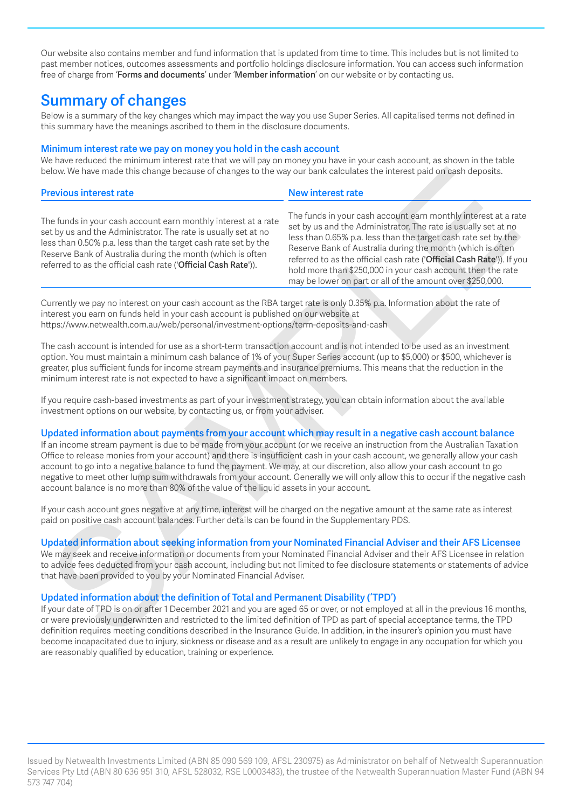Our website also contains member and fund information that is updated from time to time. This includes but is not limited to past member notices, outcomes assessments and portfolio holdings disclosure information. You can access such information free of charge from '**Forms and documents**' under '**Member information**' on our website or by contacting us.

## **Summary of changes**

Below is a summary of the key changes which may impact the way you use Super Series. All capitalised terms not defined in this summary have the meanings ascribed to them in the disclosure documents.

#### **Minimum interest rate we pay on money you hold in the cash account**

We have reduced the minimum interest rate that we will pay on money you have in your cash account, as shown in the table below. We have made this change because of changes to the way our bank calculates the interest paid on cash deposits.

| below. We have made this change because of changes to the way our bank calculates the interest paid on cash deposits.                                                                                                                                                                                                                                                                                                                                                                                                                                                                                                                                                                                                           |                                                                                                                                                                                                                                                                                                                                                                                                                                                                       |
|---------------------------------------------------------------------------------------------------------------------------------------------------------------------------------------------------------------------------------------------------------------------------------------------------------------------------------------------------------------------------------------------------------------------------------------------------------------------------------------------------------------------------------------------------------------------------------------------------------------------------------------------------------------------------------------------------------------------------------|-----------------------------------------------------------------------------------------------------------------------------------------------------------------------------------------------------------------------------------------------------------------------------------------------------------------------------------------------------------------------------------------------------------------------------------------------------------------------|
| <b>Previous interest rate</b>                                                                                                                                                                                                                                                                                                                                                                                                                                                                                                                                                                                                                                                                                                   | <b>New interest rate</b>                                                                                                                                                                                                                                                                                                                                                                                                                                              |
| The funds in your cash account earn monthly interest at a rate<br>set by us and the Administrator. The rate is usually set at no<br>less than 0.50% p.a. less than the target cash rate set by the<br>Reserve Bank of Australia during the month (which is often<br>referred to as the official cash rate ('Official Cash Rate')).                                                                                                                                                                                                                                                                                                                                                                                              | The funds in your cash account earn monthly interest at a rate<br>set by us and the Administrator. The rate is usually set at no<br>less than 0.65% p.a. less than the target cash rate set by the<br>Reserve Bank of Australia during the month (which is often<br>referred to as the official cash rate ('Official Cash Rate')). If you<br>hold more than \$250,000 in your cash account then the rate<br>may be lower on part or all of the amount over \$250,000. |
| Currently we pay no interest on your cash account as the RBA target rate is only 0.35% p.a. Information about the rate of<br>interest you earn on funds held in your cash account is published on our website at<br>https://www.netwealth.com.au/web/personal/investment-options/term-deposits-and-cash                                                                                                                                                                                                                                                                                                                                                                                                                         |                                                                                                                                                                                                                                                                                                                                                                                                                                                                       |
| The cash account is intended for use as a short-term transaction account and is not intended to be used as an investment<br>option. You must maintain a minimum cash balance of 1% of your Super Series account (up to \$5,000) or \$500, whichever is<br>greater, plus sufficient funds for income stream payments and insurance premiums. This means that the reduction in the<br>minimum interest rate is not expected to have a significant impact on members.                                                                                                                                                                                                                                                              |                                                                                                                                                                                                                                                                                                                                                                                                                                                                       |
| If you require cash-based investments as part of your investment strategy, you can obtain information about the available<br>investment options on our website, by contacting us, or from your adviser.                                                                                                                                                                                                                                                                                                                                                                                                                                                                                                                         |                                                                                                                                                                                                                                                                                                                                                                                                                                                                       |
| Updated information about payments from your account which may result in a negative cash account balance<br>If an income stream payment is due to be made from your account (or we receive an instruction from the Australian Taxation<br>Office to release monies from your account) and there is insufficient cash in your cash account, we generally allow your cash<br>account to go into a negative balance to fund the payment. We may, at our discretion, also allow your cash account to go<br>negative to meet other lump sum withdrawals from your account. Generally we will only allow this to occur if the negative cash<br>account balance is no more than 80% of the value of the liquid assets in your account. |                                                                                                                                                                                                                                                                                                                                                                                                                                                                       |
| If your cash account goes negative at any time, interest will be charged on the negative amount at the same rate as interest<br>paid on positive cash account balances. Further details can be found in the Supplementary PDS.                                                                                                                                                                                                                                                                                                                                                                                                                                                                                                  |                                                                                                                                                                                                                                                                                                                                                                                                                                                                       |
| Updated information about seeking information from your Nominated Financial Adviser and their AFS Licensee<br>We may seek and receive information or documents from your Nominated Financial Adviser and their AFS Licensee in relation<br>that have been provided to you by your Nominated Financial Adviser.                                                                                                                                                                                                                                                                                                                                                                                                                  | to advice fees deducted from your cash account, including but not limited to fee disclosure statements or statements of advice                                                                                                                                                                                                                                                                                                                                        |
| Updated information about the definition of Total and Permanent Disability ('TPD')<br>or were previously underwritten and restricted to the limited definition of TPD as part of special acceptance terms, the TPD<br>definition requires meeting conditions described in the Insurance Guide. In addition, in the insurer's opinion you must have<br>become incorporated due to injury oichness or disease and see result are unlikely to engage in any esquestion for which you                                                                                                                                                                                                                                               | If your date of TPD is on or after 1 December 2021 and you are aged 65 or over, or not employed at all in the previous 16 months,                                                                                                                                                                                                                                                                                                                                     |

#### **Updated information about payments from your account which may result in a negative cash account balance**

#### **Updated information about seeking information from your Nominated Financial Adviser and their AFS Licensee**

#### **Updated information about the definition of Total and Permanent Disability ('TPD')**

If your date of TPD is on or after 1 December 2021 and you are aged 65 or over, or not employed at all in the previous 16 months, or were previously underwritten and restricted to the limited definition of TPD as part of special acceptance terms, the TPD definition requires meeting conditions described in the Insurance Guide. In addition, in the insurer's opinion you must have become incapacitated due to injury, sickness or disease and as a result are unlikely to engage in any occupation for which you are reasonably qualified by education, training or experience.

Issued by Netwealth Investments Limited (ABN 85 090 569 109, AFSL 230975) as Administrator on behalf of Netwealth Superannuation Services Pty Ltd (ABN 80 636 951 310, AFSL 528032, RSE L0003483), the trustee of the Netwealth Superannuation Master Fund (ABN 94 573 747 704)